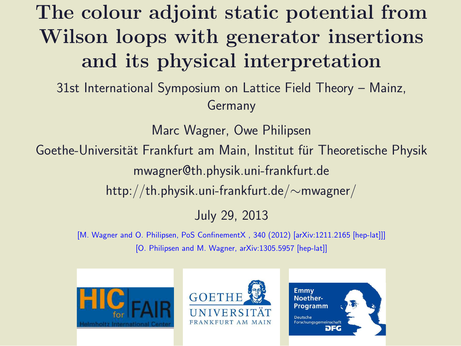# The colour adjoint static potential from Wilson loops with generator insertions and its physical interpretation

31st International Symposium on Lattice Field Theory – Mainz, Germany

Marc Wagner, Owe Philipsen

Goethe-Universität Frankfurt am Main, Institut für Theoretische Physik mwagner@th.physik.uni-frankfurt.de http://th.physik.uni-frankfurt.de/∼mwagner/

### July 29, 2013

[M. Wagner and O. Philipsen, PoS ConfinementX , 340 (2012) [arXiv:1211.2165 [hep-lat]]] [O. Philipsen and M. Wagner, arXiv:1305.5957 [hep-lat]]





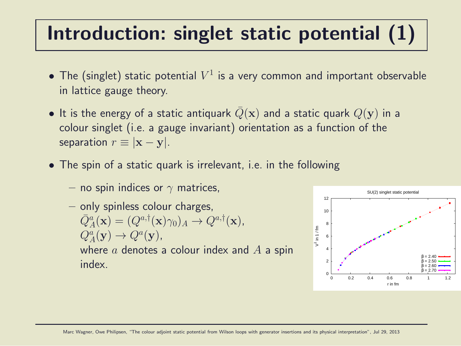## Introduction: singlet static potential (1)

- $\bullet$  The (singlet) static potential  $V^1$  is a very common and important observable in lattice gauge theory.
- It is the energy of a static antiquark  $Q(\mathbf{x})$  and a static quark  $Q(\mathbf{y})$  in a colour singlet (i.e. a gauge invariant) orientation as a function of the separation  $r \equiv |\mathbf{x} - \mathbf{v}|$ .
- The spin of a static quark is irrelevant, i.e. in the following
	- no spin indices or  $\gamma$  matrices,
	- only spinless colour charges,  $\bar{Q}_A^a(\mathbf{x}) = (Q^{a,\dagger}(\mathbf{x})\gamma_0)_A \rightarrow Q^{a,\dagger}(\mathbf{x}),$  $Q_A^a(\mathbf{y}) \to Q^a(\mathbf{y}),$ where  $a$  denotes a colour index and  $A$  a spin index.

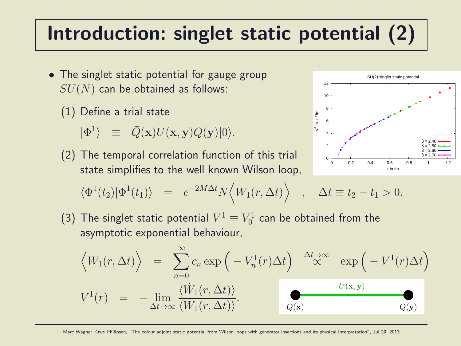### Introduction: singlet static potential (2)

- The singlet static potential for gauge group  $SU(N)$  can be obtained as follows:
	- (1) Define a trial state

 $|\Phi^1\rangle \equiv \bar{Q}(\mathbf{x})U(\mathbf{x}, \mathbf{y})Q(\mathbf{y})|0\rangle.$ 

(2) The temporal correlation function of this trial state simplifies to the well known Wilson loop,



$$
\langle \Phi^1(t_2)|\Phi^1(t_1)\rangle = e^{-2M\Delta t}N\langle W_1(r,\Delta t)\rangle , \quad \Delta t \equiv t_2 - t_1 > 0.
$$

(3) The singlet static potential  $V^1\equiv V^1_0$  $\delta_0^{\texttt{L}}$  can be obtained from the asymptotic exponential behaviour,

$$
\langle W_1(r, \Delta t) \rangle = \sum_{n=0}^{\infty} c_n \exp\left(-V_n^1(r)\Delta t\right) \stackrel{\Delta t \to \infty}{\propto} \exp\left(-V^1(r)\Delta t\right)
$$
  

$$
V^1(r) = -\lim_{\Delta t \to \infty} \frac{\langle \dot{W}_1(r, \Delta t) \rangle}{\langle W_1(r, \Delta t) \rangle}.
$$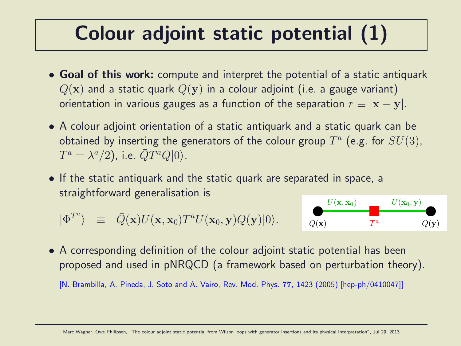### Colour adjoint static potential (1)

- Goal of this work: compute and interpret the potential of a static antiquark  $Q(\mathbf{x})$  and a static quark  $Q(\mathbf{y})$  in a colour adjoint (i.e. a gauge variant) orientation in various gauges as a function of the separation  $r \equiv |\mathbf{x} - \mathbf{y}|$ .
- A colour adjoint orientation of a static antiquark and a static quark can be obtained by inserting the generators of the colour group  $T^a$  (e.g. for  $SU(3)$ ,  $T^a = \lambda^a/2$ ), i.e.  $\bar{Q}T^aQ|0\rangle$ .
- If the static antiquark and the static quark are separated in space, a straightforward generalisation is

$$
|\Phi^{T^a}\rangle \equiv \bar{Q}(\mathbf{x})U(\mathbf{x},\mathbf{x}_0)T^aU(\mathbf{x}_0,\mathbf{y})Q(\mathbf{y})|0\rangle.
$$



• A corresponding definition of the colour adjoint static potential has been proposed and used in pNRQCD (a framework based on perturbation theory).

[N. Brambilla, A. Pineda, J. Soto and A. Vairo, Rev. Mod. Phys. 77, 1423 (2005) [hep-ph/0410047]]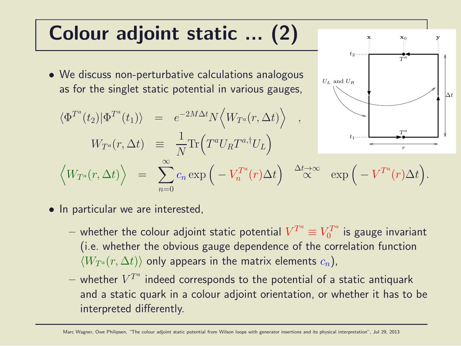### Colour adjoint static ... (2)

- We discuss non-perturbative calculations analogous as for the singlet static potential in various gauges,
- $\langle \Phi^{T^a}(t_2) | \Phi^{T^a}(t_1) \rangle \;\; = \;\; e^{-2M\Delta t} N \Big\langle W_{T^a}(r,\Delta t) \Big\rangle \quad ,$  $W_{T^a}(r,\Delta t) \;\;\equiv$ 1 N  $\text{Tr}\left(T^a U_R T^{a,\dagger} U_L\right)$  $\Big\langle W_{T^a}(r,\Delta t) \Big\rangle \;\; = \;\; \sum \;$ ∞  $n=0$  $c_n\exp\big(-V_n^{T^a}$  $\mathbb{P}_n^{T^a}(r) \Delta t\Big) \quad \mathbb{\overset{\Delta t\rightarrow\infty}{\propto}} \quad \exp\Big(-V^{T^a}(r) \Delta t\Big).$  $t_1$



 $-$  whether the colour adjoint static potential  $V^{T^a}\equiv V^{T^a}_0$  $\frac{U^T}{0}$  is gauge invariant (i.e. whether the obvious gauge dependence of the correlation function  $\langle W_{T^a}(r, \Delta t) \rangle$  only appears in the matrix elements  $c_n$ ),

∆t

r

 $\tau$ a

 $x_0$  y

T a

 $t_2$ .....

 $U_L$  and  $U_R$ 

 $-$  whether  $V^{T^a}$  indeed corresponds to the potential of a static antiquark and a static quark in a colour adjoint orientation, or whether it has to be interpreted differently.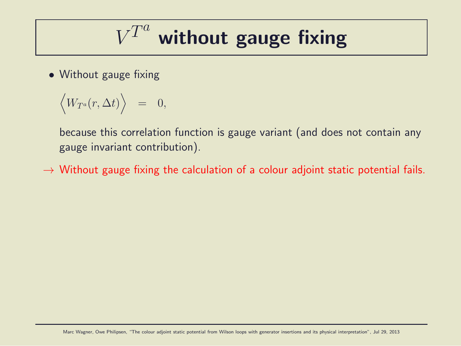$$
V^{T^a}
$$
 without gauge fixing

• Without gauge fixing

$$
\Big\ =\ \ 0,
$$

because this correlation function is gauge variant (and does not contain any gauge invariant contribution).

 $\rightarrow$  Without gauge fixing the calculation of a colour adjoint static potential fails.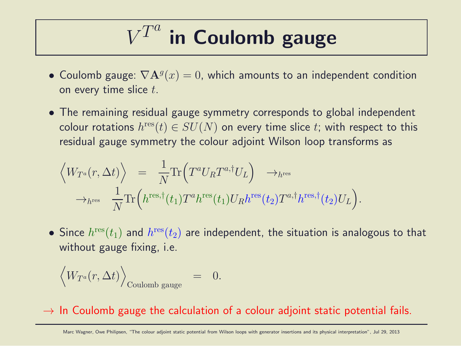#### $V^{T^a}$ in Coulomb gauge

- Coulomb gauge:  $\nabla \mathbf{A}^g(x) = 0$ , which amounts to an independent condition on every time slice  $t$ .
- The remaining residual gauge symmetry corresponds to global independent colour rotations  $h^{\rm res}(t)\in SU(N)$  on every time slice  $t;$  with respect to this residual gauge symmetry the colour adjoint Wilson loop transforms as

$$
\langle W_{T^a}(r,\Delta t) \rangle = \frac{1}{N} \text{Tr} \Big( T^a U_R T^{a,\dagger} U_L \Big) \rightarrow_{h^{\text{res}}} \rightarrow_{h^{\text{res}}} \rightarrow_{h^{\text{res}}} \frac{1}{N} \text{Tr} \Big( h^{\text{res},\dagger}(t_1) T^a h^{\text{res}}(t_1) U_R h^{\text{res}}(t_2) T^{a,\dagger} h^{\text{res},\dagger}(t_2) U_L \Big).
$$

 $\bullet$  Since  $h^{\rm{res}}(t_1)$  and  $h^{\rm{res}}(t_2)$  are independent, the situation is analogous to that without gauge fixing, i.e.

$$
\Big_{\text{Coulomb gauge}}\quad=\quad 0.
$$

 $\rightarrow$  In Coulomb gauge the calculation of a colour adjoint static potential fails.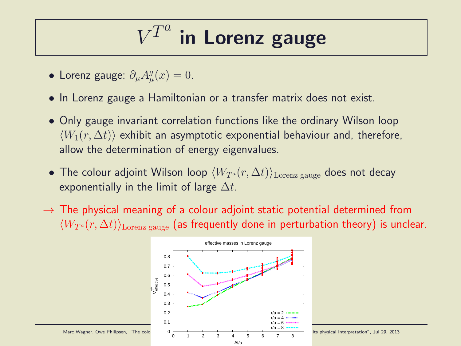#### V  $\overline{T}$  $\overline{a}$ in Lorenz gauge

- Lorenz gauge:  $\partial_{\mu}A_{\mu}^{g}$  $_{\mu}^{g}(x)=0.$
- In Lorenz gauge a Hamiltonian or a transfer matrix does not exist.
- Only gauge invariant correlation functions like the ordinary Wilson loop  $\langle W_1(r, \Delta t) \rangle$  exhibit an asymptotic exponential behaviour and, therefore, allow the determination of energy eigenvalues.
- The colour adjoint Wilson loop  $\langle W_{T^a}(r, \Delta t)\rangle_{\text{Lorenz gauge}}$  does not decay exponentially in the limit of large  $\Delta t$ .
- $\rightarrow$  The physical meaning of a colour adjoint static potential determined from  $\langle W_{T^a}(r, \Delta t)\rangle$ <sub>Lorenz gauge</sub> (as frequently done in perturbation theory) is unclear.

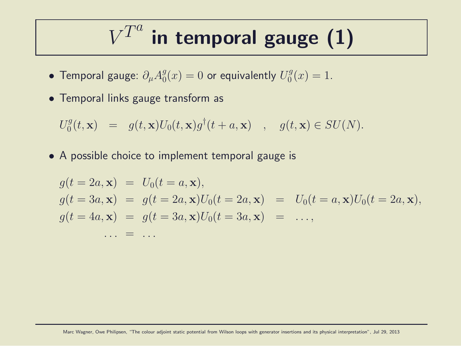#### $V^{T^a}$ in temporal gauge (1)

- Temporal gauge:  $\partial_{\mu}A_{0}^{g}$  $\frac{g}{0}(x)=0$  or equivalently  $U_{0}^{g}$  $_{0}^{9}(x)=1.$
- Temporal links gauge transform as

$$
U_0^g(t, \mathbf{x}) = g(t, \mathbf{x})U_0(t, \mathbf{x})g^{\dagger}(t + a, \mathbf{x}) , g(t, \mathbf{x}) \in SU(N).
$$

• A possible choice to implement temporal gauge is

$$
g(t = 2a, \mathbf{x}) = U_0(t = a, \mathbf{x}),
$$
  
\n
$$
g(t = 3a, \mathbf{x}) = g(t = 2a, \mathbf{x})U_0(t = 2a, \mathbf{x}) = U_0(t = a, \mathbf{x})U_0(t = 2a, \mathbf{x}),
$$
  
\n
$$
g(t = 4a, \mathbf{x}) = g(t = 3a, \mathbf{x})U_0(t = 3a, \mathbf{x}) = \dots,
$$
  
\n
$$
\dots = \dots
$$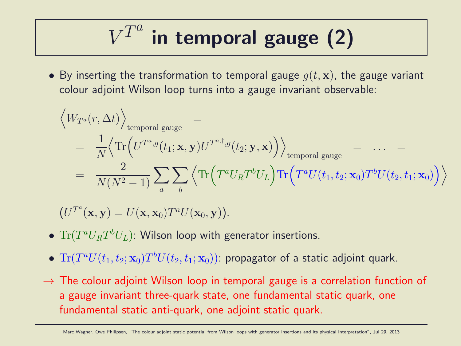$$
V^{T^a}
$$
 in temporal gauge (2)

• By inserting the transformation to temporal gauge  $q(t, \mathbf{x})$ , the gauge variant colour adjoint Wilson loop turns into a gauge invariant observable:

$$
\left\langle W_{T^a}(r, \Delta t) \right\rangle_{\text{temporal gauge}} =
$$
\n
$$
= \frac{1}{N} \left\langle \text{Tr} \left( U^{T^a, g}(t_1; \mathbf{x}, \mathbf{y}) U^{T^{a, \dagger}, g}(t_2; \mathbf{y}, \mathbf{x}) \right) \right\rangle_{\text{temporal gauge}} = \dots =
$$
\n
$$
= \frac{2}{N(N^2 - 1)} \sum_a \sum_b \left\langle \text{Tr} \left( T^a U_R T^b U_L \right) \text{Tr} \left( T^a U(t_1, t_2; \mathbf{x}_0) T^b U(t_2, t_1; \mathbf{x}_0) \right) \right\rangle
$$

 $(U^{T^a}(\mathbf{x}, \mathbf{y}) = U(\mathbf{x}, \mathbf{x}_0) T^a U(\mathbf{x}_0, \mathbf{y})).$ 

- $\bullet$   $\text{Tr}(T^aU_R T^bU_L)$ : Wilson loop with generator insertions.
- $\bullet \; {\rm Tr}(T^a U(t_1,t_2;{\bf x}_0) T^b U(t_2,t_1;{\bf x}_0))$ : propagator of a static adjoint quark.
- $\rightarrow$  The colour adjoint Wilson loop in temporal gauge is a correlation function of a gauge invariant three-quark state, one fundamental static quark, one fundamental static anti-quark, one adjoint static quark.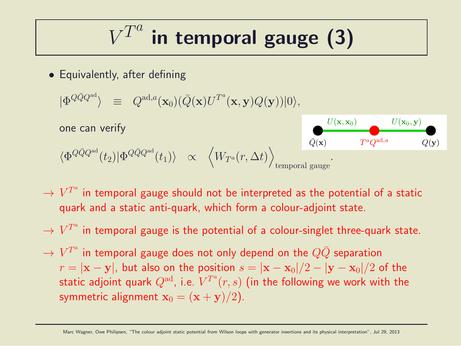$$
V^{T^a}
$$
 in temporal gauge (3)

• Equivalently, after defining

$$
|\Phi^{Q\bar{Q}Q^{\text{ad}}}\rangle \;\; \equiv \;\; Q^{\text{ad},a}(\mathbf{x}_0)(\bar{Q}(\mathbf{x})U^{T^a}(\mathbf{x},\mathbf{y})Q(\mathbf{y}))|0\rangle,
$$

one can verify

$$
\langle \Phi^{Q\bar{Q}Q^{\text{ad}}}(t_2)|\Phi^{Q\bar{Q}Q^{\text{ad}}}(t_1)\rangle \quad \propto \quad \left\langle W_{T^a}(r,\Delta t)\right\rangle_{\text{temporal gauge}}.
$$



- $\rightarrow$   $V^{T^a}$  in temporal gauge should not be interpreted as the potential of a static quark and a static anti-quark, which form a colour-adjoint state.
- $\rightarrow$   $V^{T^a}$  in temporal gauge is the potential of a colour-singlet three-quark state.
- $\rightarrow$   $V^{T^a}$  in temporal gauge does not only depend on the  $Q\bar Q$  separation  $r = |\mathbf{x} - \mathbf{y}|$ , but also on the position  $s = |\mathbf{x} - \mathbf{x}_0|/2 - |\mathbf{y} - \mathbf{x}_0|/2$  of the static adjoint quark  $Q^{\rm ad}$ , i.e.  $V^{T^a}(r,s)$  (in the following we work with the symmetric alignment  $x_0 = (x + y)/2$ .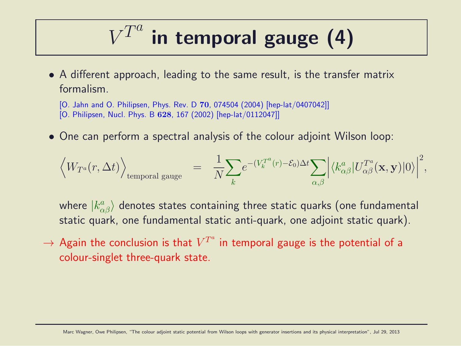#### $V^{T^a}$ in temporal gauge (4)

• A different approach, leading to the same result, is the transfer matrix formalism.

[O. Jahn and O. Philipsen, Phys. Rev. D 70, 074504 (2004) [hep-lat/0407042]] [O. Philipsen, Nucl. Phys. B 628, 167 (2002) [hep-lat/0112047]]

• One can perform a spectral analysis of the colour adjoint Wilson loop:

$$
\Big_{\text{temporal gauge}}\quad =\quad \frac{1}{N}\!\sum_{k} \!e^{-(V_k^{T^a}(r)-\mathcal{E}_0)\Delta t}\!\sum_{\alpha,\beta}\Big|\langle k^a_{\alpha\beta}|U^{T^a}_{\alpha\beta}(\mathbf{x},\mathbf{y})|0\rangle\Big|^2,
$$

where  $|k^{a}_{\alpha\beta}\rangle$  denotes states containing three static quarks (one fundamental static quark, one fundamental static anti-quark, one adjoint static quark).

 $\rightarrow$  Again the conclusion is that  $V^{T^a}$  in temporal gauge is the potential of a colour-singlet three-quark state.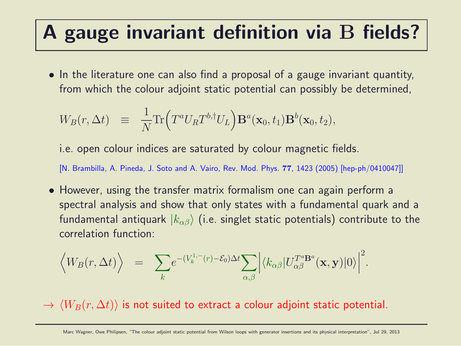### A gauge invariant definition via B fields?

• In the literature one can also find a proposal of a gauge invariant quantity, from which the colour adjoint static potential can possibly be determined,

$$
W_B(r, \Delta t) \equiv \frac{1}{N} \text{Tr} \Big( T^a U_R T^{b,\dagger} U_L \Big) \mathbf{B}^a(\mathbf{x}_0, t_1) \mathbf{B}^b(\mathbf{x}_0, t_2),
$$

i.e. open colour indices are saturated by colour magnetic fields.

[N. Brambilla, A. Pineda, J. Soto and A. Vairo, Rev. Mod. Phys. 77, 1423 (2005) [hep-ph/0410047]]

• However, using the transfer matrix formalism one can again perform a spectral analysis and show that only states with a fundamental quark and a fundamental antiquark  $|k_{\alpha\beta}\rangle$  (i.e. singlet static potentials) contribute to the correlation function:

$$
\langle W_B(r, \Delta t) \rangle = \sum_{k} e^{-(V_k^{1,-}(r) - \mathcal{E}_0) \Delta t} \sum_{\alpha, \beta} \Big| \langle k_{\alpha \beta} | U_{\alpha \beta}^{T^a \mathbf{B}^a}(\mathbf{x}, \mathbf{y}) | 0 \rangle \Big|^2.
$$

 $\rightarrow$   $\langle W_B(r, \Delta t) \rangle$  is not suited to extract a colour adjoint static potential.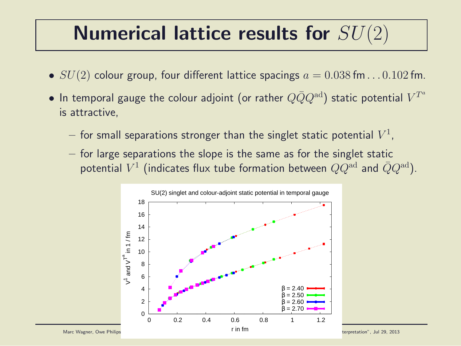### Numerical lattice results for  $SU(2)$

- $SU(2)$  colour group, four different lattice spacings  $a = 0.038$  fm... $0.102$  fm.
- $\bullet$  In temporal gauge the colour adjoint (or rather  $Q\bar Q Q^{\rm ad})$  static potential  $V^{T^a}$ is attractive,
	- $-$  for small separations stronger than the singlet static potential  $V^1$ ,
	- $-$  for large separations the slope is the same as for the singlet static potential  $V^1$  (indicates flux tube formation between  $QQ^{\rm ad}$  and  $\bar{Q}Q^{\rm ad}$ ).

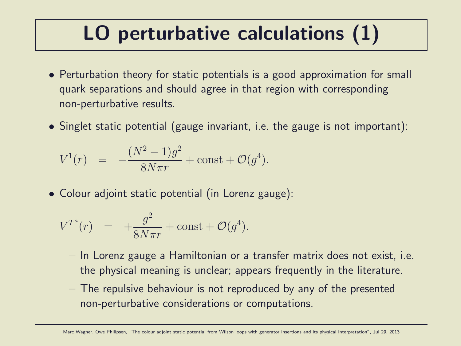### LO perturbative calculations (1)

- Perturbation theory for static potentials is a good approximation for small quark separations and should agree in that region with corresponding non-perturbative results.
- Singlet static potential (gauge invariant, i.e. the gauge is not important):

$$
V^{1}(r) = -\frac{(N^{2} - 1)g^{2}}{8N\pi r} + \text{const} + \mathcal{O}(g^{4}).
$$

• Colour adjoint static potential (in Lorenz gauge):

$$
V^{T^a}(r) = +\frac{g^2}{8N\pi r} + \text{const} + \mathcal{O}(g^4).
$$

- In Lorenz gauge a Hamiltonian or a transfer matrix does not exist, i.e. the physical meaning is unclear; appears frequently in the literature.
- The repulsive behaviour is not reproduced by any of the presented non-perturbative considerations or computations.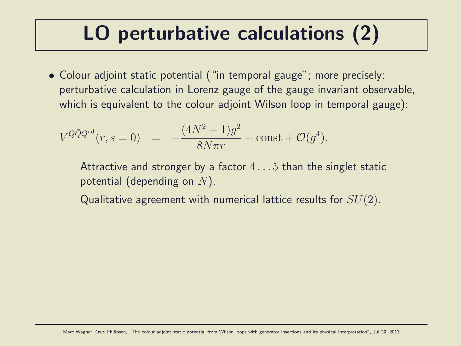### LO perturbative calculations (2)

• Colour adjoint static potential ("in temporal gauge"; more precisely: perturbative calculation in Lorenz gauge of the gauge invariant observable, which is equivalent to the colour adjoint Wilson loop in temporal gauge):

$$
V^{Q\bar{Q}Q^{\text{ad}}}(r,s=0) = -\frac{(4N^2-1)g^2}{8N\pi r} + \text{const} + \mathcal{O}(g^4).
$$

- $-$  Attractive and stronger by a factor  $4 \dots 5$  than the singlet static potential (depending on  $N$ ).
- Qualitative agreement with numerical lattice results for  $SU(2)$ .